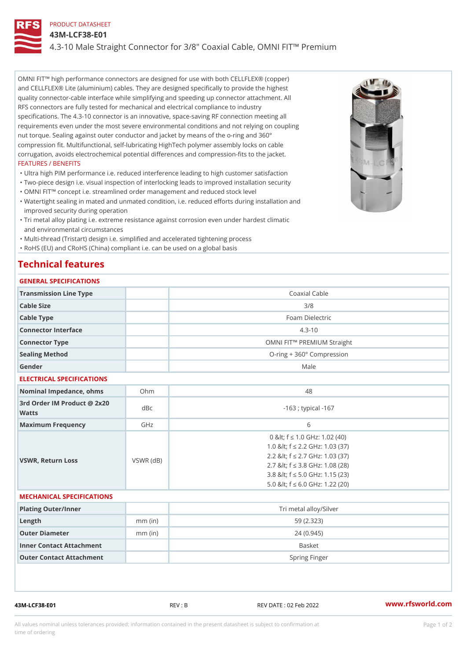### PRODUCT DATASHEET

43M-LCF38-E01

# 4.3-10 Male Straight Connector for 3/8" Coaxial Cable, OMNI FIT!" Pren

OMNI FIT!" high performance connectors are designed for use with both CELLFLEX® (copper) and CELLFLEX® Lite (aluminium) cables. They are designed specifically to provide the highest quality connector-cable interface while simplifying and speeding up connector attachment. All RFS connectors are fully tested for mechanical and electrical compliance to industry specifications. The 4.3-10 connector is an innovative, space-saving RF connection meeting all requirements even under the most severe environmental conditions and not relying on coupling nut torque. Sealing against outer conductor and jacket by means of the o-ring and 360° compression fit. Multifunctional, self-lubricating HighTech polymer assembly locks on cable corrugation, avoids electrochemical potential differences and compression-fits to the jacket. FEATURES / BENEFITS

"Ultra high PIM performance i.e. reduced interference leading to high customer satisfaction

- "Two-piece design i.e. visual inspection of interlocking leads to improved installation security "OMNI FIT!" concept i.e. streamlined order management and reduced stock level
- Watertight sealing in mated and unmated condition, i.e. reduced efforts during installation and " improved security during operation
- Tri metal alloy plating i.e. extreme resistance against corrosion even under hardest climatic " and environmental circumstances
- "Multi-thread (Tristart) design i.e. simplified and accelerated tightening process
- "RoHS (EU) and CRoHS (China) compliant i.e. can be used on a global basis

# Technical features

## GENERAL SPECIFICATIONS

| Transmission Line Type       |  | Coaxial Cable                          |  |  |
|------------------------------|--|----------------------------------------|--|--|
| Cable Size                   |  | 3/8                                    |  |  |
| Cable Type                   |  | Foam Dielectric                        |  |  |
| Connector Interface          |  | $4.3 - 10$                             |  |  |
| Connector Type               |  | OMNI FIT!" PREMIUM Straight            |  |  |
| Sealing Method               |  | $O$ -ring + 360 $^{\circ}$ Compression |  |  |
| Gender                       |  | Male                                   |  |  |
| FIFATBIA 41 ABFAIFIA 4 TIANA |  |                                        |  |  |

#### ELECTRICAL SPECIFICATIONS

| Nominal Impedance, ohins Ohm             |           | 48                                                                                                                                                                                                                       |
|------------------------------------------|-----------|--------------------------------------------------------------------------------------------------------------------------------------------------------------------------------------------------------------------------|
| 3rd Order IM Product @ 2x20 dBc<br>Watts |           | -163 ; typical -167                                                                                                                                                                                                      |
| Maximum Frequency                        | GHz       | 6                                                                                                                                                                                                                        |
| VSWR, Return Loss                        | VSWR (dB) | 0 & It; f "d 1.0 GHz: 1.02 (40)<br>1.0 & It; f "d 2.2 GHz: 1.03 (37)<br>2.2 & It: f "d 2.7 GHz: 1.03 (37)<br>2.7 & It; f "d 3.8 GHz: 1.08 (28)<br>3.8 & It; f "d 5.0 GHz: 1.15 (23)<br>5.0 & It; f "d 6.0 GHz: 1.22 (20) |

### MECHANICAL SPECIFICATIONS

| Plating Outer/Inner      |           | Tri metal alloy/Silver |
|--------------------------|-----------|------------------------|
| Length                   | $mm$ (in) | 59 (2.323)             |
| Outer Diameter           | $mm$ (in) | 24 (0.945)             |
| Inner Contact Attachment |           | <b>Basket</b>          |
| Outer Contact Attachment |           | Spring Finger          |

43M-LCF38-E01 REV : B REV DATE : 02 Feb 2022 [www.](https://www.rfsworld.com)rfsworld.com